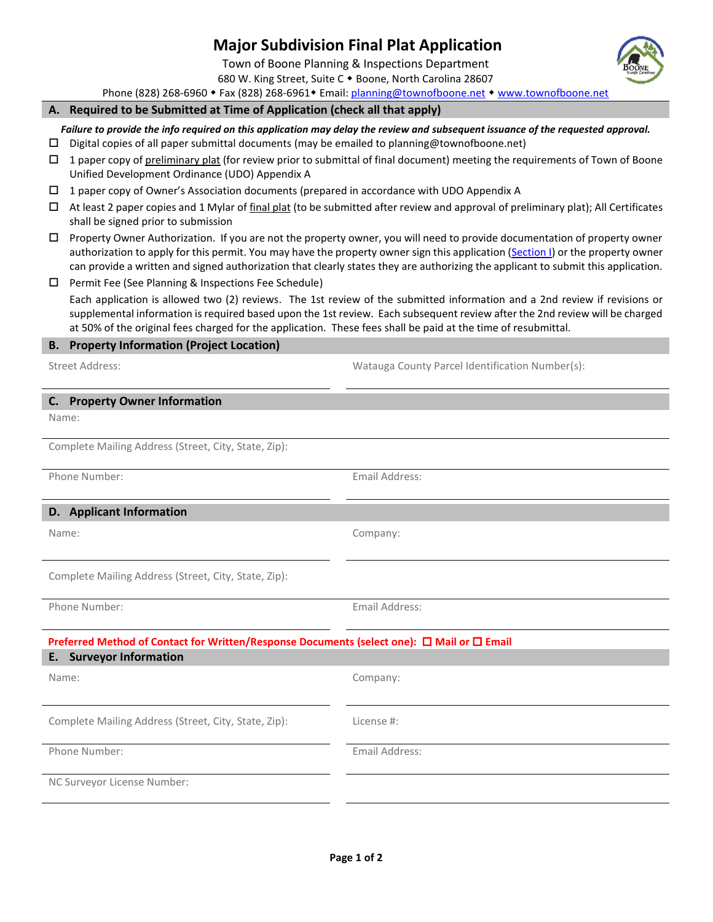## **Major Subdivision Final Plat Application**

Town of Boone Planning & Inspections Department 680 W. King Street, Suite C . Boone, North Carolina 28607

Phone (828) 268-6960 • Fax (828) 268-6961 • Email: [planning@townofboone.net](mailto:planning@townofboone.net) • [www.townofboone.net](http://www.townofboone.net/)

## **A. Required to be Submitted at Time of Application (check all that apply)**

*Failure to provide the info required on this application may delay the review and subsequent issuance of the requested approval.*

- $\Box$  Digital copies of all paper submittal documents (may be emailed to planning@townofboone.net)
- 1 paper copy of preliminary plat (for review prior to submittal of final document) meeting the requirements of Town of Boone Unified Development Ordinance (UDO) Appendix A
- 1 paper copy of Owner's Association documents (prepared in accordance with UDO Appendix A
- $\Box$  At least 2 paper copies and 1 Mylar of final plat (to be submitted after review and approval of preliminary plat); All Certificates shall be signed prior to submission
- $\Box$  Property Owner Authorization. If you are not the property owner, you will need to provide documentation of property owner authorization to apply for this permit. You may have the property owner sign this application [\(Section I\)](#page-1-0) or the property owner can provide a written and signed authorization that clearly states they are authorizing the applicant to submit this application.
- $\square$  Permit Fee (See Planning & Inspections Fee Schedule) Each application is allowed two (2) reviews. The 1st review of the submitted information and a 2nd review if revisions or supplemental information is required based upon the 1st review. Each subsequent review after the 2nd review will be charged at 50% of the original fees charged for the application. These fees shall be paid at the time of resubmittal.

## **B. Property Information (Project Location)**

Street Address: Watauga County Parcel Identification Number(s):

| <b>Property Owner Information</b><br>C.                                                    |                |  |  |  |  |
|--------------------------------------------------------------------------------------------|----------------|--|--|--|--|
| Name:                                                                                      |                |  |  |  |  |
| Complete Mailing Address (Street, City, State, Zip):                                       |                |  |  |  |  |
| Phone Number:                                                                              | Email Address: |  |  |  |  |
| D. Applicant Information                                                                   |                |  |  |  |  |
| Name:                                                                                      | Company:       |  |  |  |  |
| Complete Mailing Address (Street, City, State, Zip):                                       |                |  |  |  |  |
| Phone Number:                                                                              | Email Address: |  |  |  |  |
| Preferred Method of Contact for Written/Response Documents (select one): □ Mail or □ Email |                |  |  |  |  |
| <b>Surveyor Information</b><br>Ε.                                                          |                |  |  |  |  |
| Name:                                                                                      | Company:       |  |  |  |  |
| Complete Mailing Address (Street, City, State, Zip):                                       | License #:     |  |  |  |  |
| Phone Number:                                                                              | Email Address: |  |  |  |  |
| NC Surveyor License Number:                                                                |                |  |  |  |  |